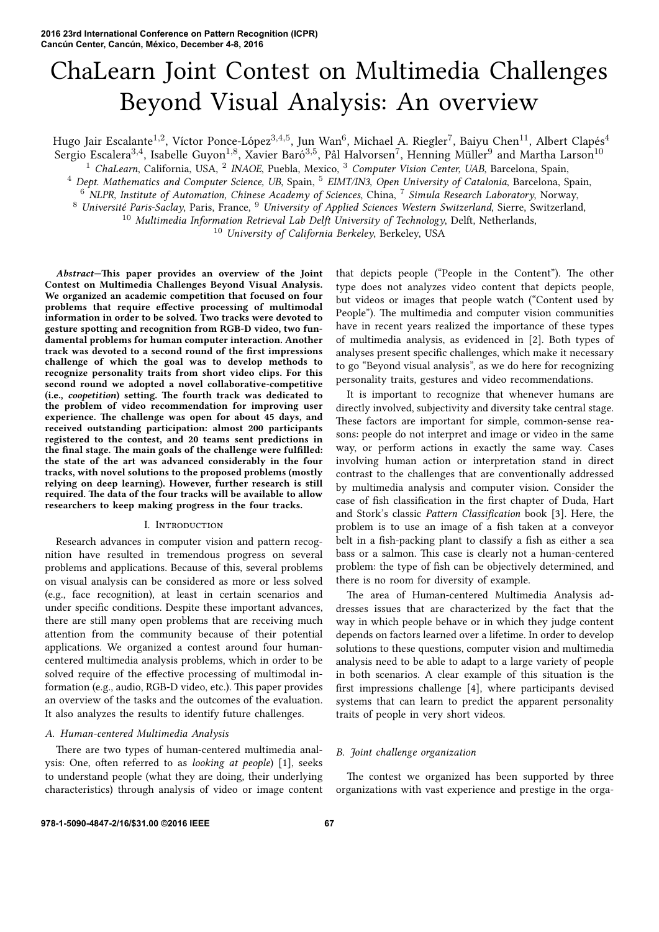# ChaLearn Joint Contest on Multimedia Challenges Beyond Visual Analysis: An overview

Hugo Jair Escalante<sup>1,2</sup>, Víctor Ponce-López<sup>3,4,5</sup>, Jun Wan<sup>6</sup>, Michael A. Riegler<sup>7</sup>, Baiyu Chen<sup>11</sup>, Albert Clapés<sup>4</sup>

Sergio Escalera<sup>3,4</sup>, Isabelle Guyon<sup>1,8</sup>, Xavier Baró<sup>3,5</sup>, Pål Halvorsen<sup>7</sup>, Henning Müller<sup>9</sup> and Martha Larson<sup>10</sup> <sup>1</sup> ChaLearn, California, USA, <sup>2</sup> INAOE, Puebla, Mexico, <sup>3</sup> Computer Vision Center, UAB, Barcelona, Spain,

<sup>4</sup> Dept. Mathematics and Computer Science, UB, Spain, <sup>5</sup> *EIMT/IN3*, Open University of Catalonia, Barcelona, Spain,

<sup>6</sup> *NLPR, Institute of Automation, Chinese Academy of Sciences*, China, <sup>7</sup> *Simula Research Laboratory*, Norway,

<sup>8</sup> *Université Paris-Saclay*, Paris, France, <sup>9</sup> *University of Applied Sciences Western Switzerland*, Sierre, Switzerland,

<sup>10</sup> Multimedia Information Retrieval Lab Delft University of Technology, Delft, Netherlands,

<sup>10</sup> *University of California Berkeley*, Berkeley, USA

*Abstract***—is paper provides an overview of the Joint Contest on Multimedia Challenges Beyond Visual Analysis. We organized an academic competition that focused on four problems that require effective processing of multimodal information in order to be solved. Two tracks were devoted to gesture spotting and recognition from RGB-D video, two fundamental problems for human computer interaction. Another track was devoted to a second round of the first impressions challenge of which the goal was to develop methods to recognize personality traits from short video clips. For this second round we adopted a novel collaborative-competitive** (i.e., *coopetition*) setting. The fourth track was dedicated to **the problem of video recommendation for improving user** experience. The challenge was open for about 45 days, and **received outstanding participation: almost 200 participants registered to the contest, and 20 teams sent predictions in** the final stage. The main goals of the challenge were fulfilled: **the state of the art was advanced considerably in the four tracks, with novel solutions to the proposed problems (mostly relying on deep learning). However, further research is still** required. The data of the four tracks will be available to allow **researchers to keep making progress in the four tracks.**

# I. INTRODUCTION

Research advances in computer vision and pattern recognition have resulted in tremendous progress on several problems and applications. Because of this, several problems on visual analysis can be considered as more or less solved (e.g., face recognition), at least in certain scenarios and under specific conditions. Despite these important advances, there are still many open problems that are receiving much attention from the community because of their potential applications. We organized a contest around four humancentered multimedia analysis problems, which in order to be solved require of the effective processing of multimodal information (e.g., audio, RGB-D video, etc.). This paper provides an overview of the tasks and the outcomes of the evaluation. It also analyzes the results to identify future challenges.

# *A. Human-centered Multimedia Analysis*

There are two types of human-centered multimedia analysis: One, often referred to as *looking at people*) [1], seeks to understand people (what they are doing, their underlying characteristics) through analysis of video or image content that depicts people ("People in the Content"). The other type does not analyzes video content that depicts people, but videos or images that people watch ("Content used by People"). The multimedia and computer vision communities have in recent years realized the importance of these types of multimedia analysis, as evidenced in [2]. Both types of analyses present specific challenges, which make it necessary to go "Beyond visual analysis", as we do here for recognizing personality traits, gestures and video recommendations.

It is important to recognize that whenever humans are directly involved, subjectivity and diversity take central stage. These factors are important for simple, common-sense reasons: people do not interpret and image or video in the same way, or perform actions in exactly the same way. Cases involving human action or interpretation stand in direct contrast to the challenges that are conventionally addressed by multimedia analysis and computer vision. Consider the case of fish classification in the first chapter of Duda, Hart and Stork's classic *Pattern Classification* book [3]. Here, the problem is to use an image of a fish taken at a conveyor belt in a fish-packing plant to classify a fish as either a sea bass or a salmon. This case is clearly not a human-centered problem: the type of fish can be objectively determined, and there is no room for diversity of example.

The area of Human-centered Multimedia Analysis addresses issues that are characterized by the fact that the way in which people behave or in which they judge content depends on factors learned over a lifetime. In order to develop solutions to these questions, computer vision and multimedia analysis need to be able to adapt to a large variety of people in both scenarios. A clear example of this situation is the first impressions challenge [4], where participants devised systems that can learn to predict the apparent personality traits of people in very short videos.

# *B. Joint challenge organization*

The contest we organized has been supported by three organizations with vast experience and prestige in the orga-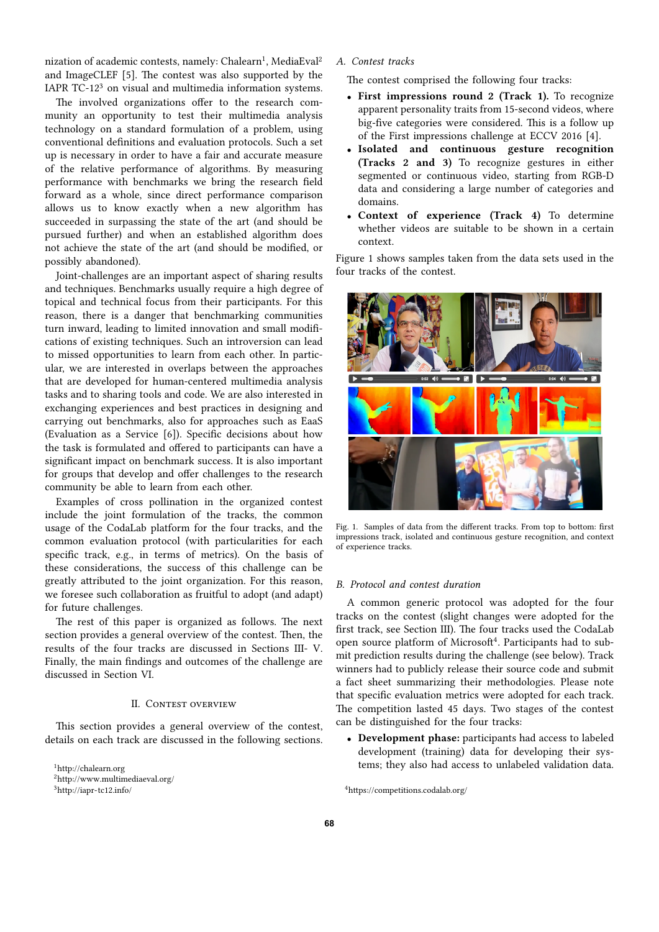nization of academic contests, namely: Chalearn<sup>1</sup>, MediaEval<sup>2</sup> and ImageCLEF  $[5]$ . The contest was also supported by the IAPR TC-12<sup>3</sup> on visual and multimedia information systems.

The involved organizations offer to the research community an opportunity to test their multimedia analysis technology on a standard formulation of a problem, using conventional definitions and evaluation protocols. Such a set up is necessary in order to have a fair and accurate measure of the relative performance of algorithms. By measuring performance with benchmarks we bring the research field forward as a whole, since direct performance comparison allows us to know exactly when a new algorithm has succeeded in surpassing the state of the art (and should be pursued further) and when an established algorithm does not achieve the state of the art (and should be modified, or possibly abandoned).

Joint-challenges are an important aspect of sharing results and techniques. Benchmarks usually require a high degree of topical and technical focus from their participants. For this reason, there is a danger that benchmarking communities turn inward, leading to limited innovation and small modifications of existing techniques. Such an introversion can lead to missed opportunities to learn from each other. In particular, we are interested in overlaps between the approaches that are developed for human-centered multimedia analysis tasks and to sharing tools and code. We are also interested in exchanging experiences and best practices in designing and carrying out benchmarks, also for approaches such as EaaS (Evaluation as a Service [6]). Specific decisions about how the task is formulated and offered to participants can have a significant impact on benchmark success. It is also important for groups that develop and offer challenges to the research community be able to learn from each other.

Examples of cross pollination in the organized contest include the joint formulation of the tracks, the common usage of the CodaLab platform for the four tracks, and the common evaluation protocol (with particularities for each specific track, e.g., in terms of metrics). On the basis of these considerations, the success of this challenge can be greatly attributed to the joint organization. For this reason, we foresee such collaboration as fruitful to adopt (and adapt) for future challenges.

The rest of this paper is organized as follows. The next section provides a general overview of the contest. Then, the results of the four tracks are discussed in Sections III- V. Finally, the main findings and outcomes of the challenge are discussed in Section VI.

# **II. CONTEST OVERVIEW**

This section provides a general overview of the contest, details on each track are discussed in the following sections.

<sup>1</sup>http://chalearn.org <sup>2</sup>http://www.multimediaeval.org/ <sup>3</sup>http://iapr-tc12.info/

*A. Contest tracks*

The contest comprised the following four tracks:

- *•* **First impressions round 2 (Track 1).** To recognize apparent personality traits from 15-second videos, where big-five categories were considered. This is a follow up of the First impressions challenge at ECCV 2016 [4].
- *•* **Isolated and continuous gesture recognition (Tracks 2 and 3)** To recognize gestures in either segmented or continuous video, starting from RGB-D data and considering a large number of categories and domains.
- *•* **Context of experience (Track 4)** To determine whether videos are suitable to be shown in a certain context.

Figure 1 shows samples taken from the data sets used in the four tracks of the contest.



Fig. 1. Samples of data from the different tracks. From top to bottom: first impressions track, isolated and continuous gesture recognition, and context of experience tracks.

# *B. Protocol and contest duration*

A common generic protocol was adopted for the four tracks on the contest (slight changes were adopted for the first track, see Section III). The four tracks used the CodaLab open source platform of Microsoft<sup>4</sup>. Participants had to submit prediction results during the challenge (see below). Track winners had to publicly release their source code and submit a fact sheet summarizing their methodologies. Please note that specific evaluation metrics were adopted for each track. The competition lasted 45 days. Two stages of the contest can be distinguished for the four tracks:

*•* **Development phase:** participants had access to labeled development (training) data for developing their systems; they also had access to unlabeled validation data.

 $^4$ https://competitions.codalab.org/  $\,$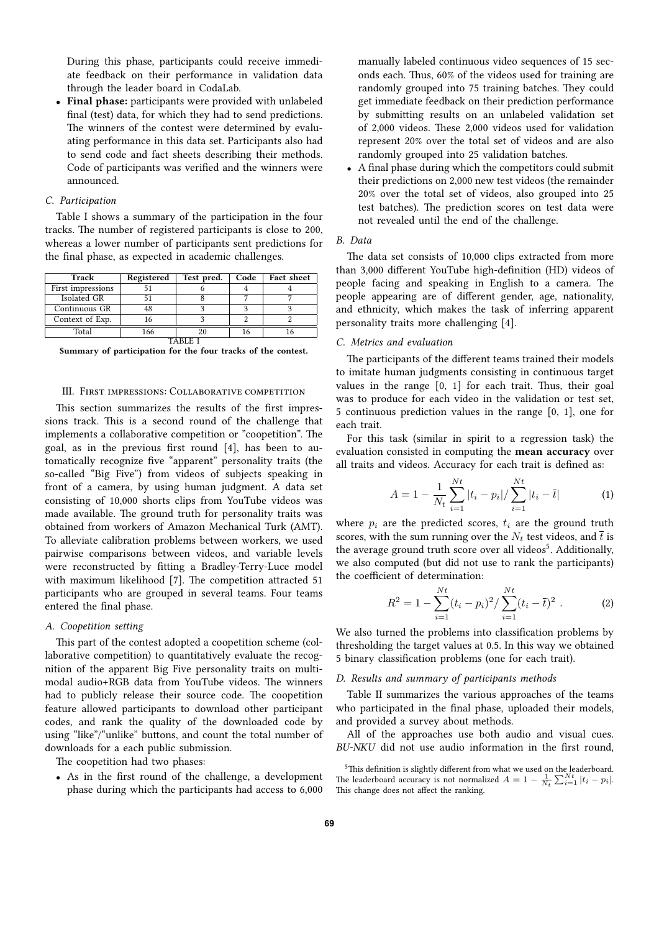During this phase, participants could receive immediate feedback on their performance in validation data through the leader board in CodaLab.

*•* **Final phase:** participants were provided with unlabeled final (test) data, for which they had to send predictions. The winners of the contest were determined by evaluating performance in this data set. Participants also had to send code and fact sheets describing their methods. Code of participants was verified and the winners were announced.

# *C. Participation*

Table I shows a summary of the participation in the four tracks. The number of registered participants is close to 200, whereas a lower number of participants sent predictions for the final phase, as expected in academic challenges.

| Track             | Registered | Test pred. | Code | Fact sheet |  |
|-------------------|------------|------------|------|------------|--|
| First impressions |            |            |      |            |  |
| Isolated GR       |            |            |      |            |  |
| Continuous GR     | 48         |            |      |            |  |
| Context of Exp.   | 16         |            |      |            |  |
| Total<br>166      |            |            |      |            |  |
|                   |            |            |      |            |  |

**Summary of participation for the four tracks of the contest.**

# III. FIRST IMPRESSIONS: COLLABORATIVE COMPETITION

This section summarizes the results of the first impressions track. This is a second round of the challenge that implements a collaborative competition or "coopetition". The goal, as in the previous first round [4], has been to automatically recognize five "apparent" personality traits (the so-called "Big Five") from videos of subjects speaking in front of a camera, by using human judgment. A data set consisting of 10,000 shorts clips from YouTube videos was made available. The ground truth for personality traits was obtained from workers of Amazon Mechanical Turk (AMT). To alleviate calibration problems between workers, we used pairwise comparisons between videos, and variable levels were reconstructed by fitting a Bradley-Terry-Luce model with maximum likelihood [7]. The competition attracted 51 participants who are grouped in several teams. Four teams entered the final phase.

# *A. Coopetition seing*

This part of the contest adopted a coopetition scheme (collaborative competition) to quantitatively evaluate the recognition of the apparent Big Five personality traits on multimodal audio+RGB data from YouTube videos. The winners had to publicly release their source code. The coopetition feature allowed participants to download other participant codes, and rank the quality of the downloaded code by using "like"/"unlike" buttons, and count the total number of downloads for a each public submission.

The coopetition had two phases:

*•* As in the first round of the challenge, a development phase during which the participants had access to 6,000

manually labeled continuous video sequences of 15 seconds each. Thus, 60% of the videos used for training are randomly grouped into 75 training batches. They could get immediate feedback on their prediction performance by submitting results on an unlabeled validation set of 2,000 videos. These 2,000 videos used for validation represent 20% over the total set of videos and are also randomly grouped into 25 validation batches.

*•* A final phase during which the competitors could submit their predictions on 2,000 new test videos (the remainder 20% over the total set of videos, also grouped into 25 test batches). The prediction scores on test data were not revealed until the end of the challenge.

#### *B. Data*

The data set consists of 10,000 clips extracted from more than 3,000 different YouTube high-definition (HD) videos of people facing and speaking in English to a camera. The people appearing are of different gender, age, nationality, and ethnicity, which makes the task of inferring apparent personality traits more challenging [4].

## *C. Metrics and evaluation*

The participants of the different teams trained their models to imitate human judgments consisting in continuous target values in the range  $[0, 1]$  for each trait. Thus, their goal was to produce for each video in the validation or test set, 5 continuous prediction values in the range [0, 1], one for each trait.

For this task (similar in spirit to a regression task) the evaluation consisted in computing the **mean accuracy** over all traits and videos. Accuracy for each trait is defined as:

$$
A = 1 - \frac{1}{N_t} \sum_{i=1}^{N_t} |t_i - p_i| / \sum_{i=1}^{N_t} |t_i - \bar{t}|
$$
 (1)

where  $p_i$  are the predicted scores,  $t_i$  are the ground truth scores, with the sum running over the  $N_t$  test videos, and  $\bar{t}$  is the average ground truth score over all videos<sup>5</sup>. Additionally, we also computed (but did not use to rank the participants) the coefficient of determination:

$$
R^{2} = 1 - \sum_{i=1}^{Nt} (t_{i} - p_{i})^{2} / \sum_{i=1}^{Nt} (t_{i} - \overline{t})^{2} . \tag{2}
$$

We also turned the problems into classification problems by thresholding the target values at 0.5. In this way we obtained 5 binary classification problems (one for each trait).

# *D. Results and summary of participants methods*

Table II summarizes the various approaches of the teams who participated in the final phase, uploaded their models, and provided a survey about methods.

All of the approaches use both audio and visual cues. *BU-NKU* did not use audio information in the first round,

 $5$ This definition is slightly different from what we used on the leaderboard. The leaderboard accuracy is not normalized  $A = 1 - \frac{1}{N_t} \sum_{i=1}^{N_t} |t_i - p_i|$ . This change does not affect the ranking.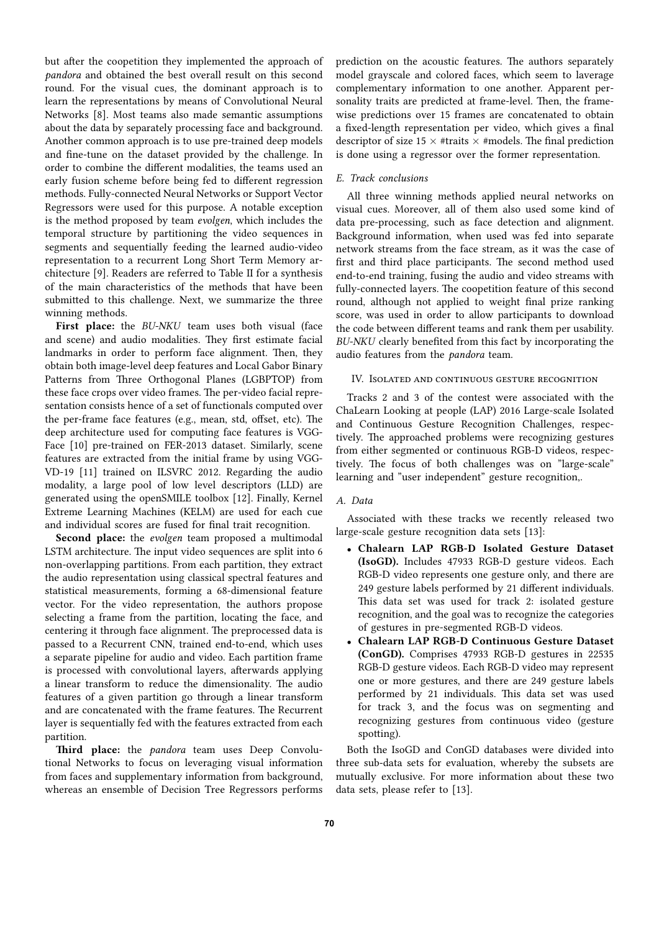but after the coopetition they implemented the approach of *pandora* and obtained the best overall result on this second round. For the visual cues, the dominant approach is to learn the representations by means of Convolutional Neural Networks [8]. Most teams also made semantic assumptions about the data by separately processing face and background. Another common approach is to use pre-trained deep models and fine-tune on the dataset provided by the challenge. In order to combine the different modalities, the teams used an early fusion scheme before being fed to different regression methods. Fully-connected Neural Networks or Support Vector Regressors were used for this purpose. A notable exception is the method proposed by team *evolgen*, which includes the temporal structure by partitioning the video sequences in segments and sequentially feeding the learned audio-video representation to a recurrent Long Short Term Memory architecture [9]. Readers are referred to Table II for a synthesis of the main characteristics of the methods that have been submitted to this challenge. Next, we summarize the three winning methods.

**First place:** the *BU-NKU* team uses both visual (face and scene) and audio modalities. They first estimate facial landmarks in order to perform face alignment. Then, they obtain both image-level deep features and Local Gabor Binary Patterns from Three Orthogonal Planes (LGBPTOP) from these face crops over video frames. The per-video facial representation consists hence of a set of functionals computed over the per-frame face features (e.g., mean, std, offset, etc). The deep architecture used for computing face features is VGG-Face [10] pre-trained on FER-2013 dataset. Similarly, scene features are extracted from the initial frame by using VGG-VD-19 [11] trained on ILSVRC 2012. Regarding the audio modality, a large pool of low level descriptors (LLD) are generated using the openSMILE toolbox [12]. Finally, Kernel Extreme Learning Machines (KELM) are used for each cue and individual scores are fused for final trait recognition.

**Second place:** the *evolgen* team proposed a multimodal LSTM architecture. The input video sequences are split into 6 non-overlapping partitions. From each partition, they extract the audio representation using classical spectral features and statistical measurements, forming a 68-dimensional feature vector. For the video representation, the authors propose selecting a frame from the partition, locating the face, and centering it through face alignment. The preprocessed data is passed to a Recurrent CNN, trained end-to-end, which uses a separate pipeline for audio and video. Each partition frame is processed with convolutional layers, afterwards applying a linear transform to reduce the dimensionality. The audio features of a given partition go through a linear transform and are concatenated with the frame features. The Recurrent layer is sequentially fed with the features extracted from each partition.

Third place: the *pandora* team uses Deep Convolutional Networks to focus on leveraging visual information from faces and supplementary information from background, whereas an ensemble of Decision Tree Regressors performs

prediction on the acoustic features. The authors separately model grayscale and colored faces, which seem to laverage complementary information to one another. Apparent personality traits are predicted at frame-level. Then, the framewise predictions over 15 frames are concatenated to obtain a fixed-length representation per video, which gives a final descriptor of size 15  $\times$  #traits  $\times$  #models. The final prediction is done using a regressor over the former representation.

# *E. Track conclusions*

All three winning methods applied neural networks on visual cues. Moreover, all of them also used some kind of data pre-processing, such as face detection and alignment. Background information, when used was fed into separate network streams from the face stream, as it was the case of first and third place participants. The second method used end-to-end training, fusing the audio and video streams with fully-connected layers. The coopetition feature of this second round, although not applied to weight final prize ranking score, was used in order to allow participants to download the code between different teams and rank them per usability. *BU-NKU* clearly benefited from this fact by incorporating the audio features from the *pandora* team.

# IV. ISOLATED AND CONTINUOUS GESTURE RECOGNITION

Tracks 2 and 3 of the contest were associated with the ChaLearn Looking at people (LAP) 2016 Large-scale Isolated and Continuous Gesture Recognition Challenges, respectively. The approached problems were recognizing gestures from either segmented or continuous RGB-D videos, respectively. The focus of both challenges was on "large-scale" learning and "user independent" gesture recognition,.

## *A. Data*

Associated with these tracks we recently released two large-scale gesture recognition data sets [13]:

- *•* **Chalearn LAP RGB-D Isolated Gesture Dataset (IsoGD).** Includes 47933 RGB-D gesture videos. Each RGB-D video represents one gesture only, and there are 249 gesture labels performed by 21 different individuals. This data set was used for track 2: isolated gesture recognition, and the goal was to recognize the categories of gestures in pre-segmented RGB-D videos.
- *•* **Chalearn LAP RGB-D Continuous Gesture Dataset (ConGD).** Comprises 47933 RGB-D gestures in 22535 RGB-D gesture videos. Each RGB-D video may represent one or more gestures, and there are 249 gesture labels performed by 21 individuals. This data set was used for track 3, and the focus was on segmenting and recognizing gestures from continuous video (gesture spotting).

Both the IsoGD and ConGD databases were divided into three sub-data sets for evaluation, whereby the subsets are mutually exclusive. For more information about these two data sets, please refer to [13].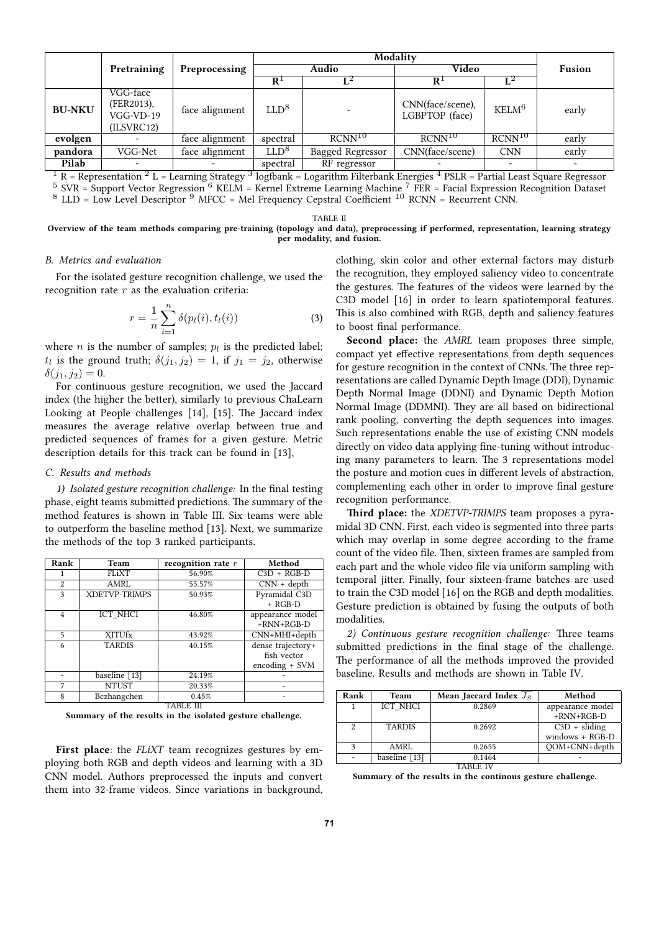|               |                    |                             | Modality             |                    |                             |                                             |               |
|---------------|--------------------|-----------------------------|----------------------|--------------------|-----------------------------|---------------------------------------------|---------------|
|               | Pretraining        | Preprocessing               | Audio                |                    | Video                       |                                             | <b>Fusion</b> |
|               |                    |                             | $\mathbf{R}^{\perp}$ | $\mathbf{L}^2$     | $R^{\perp}$                 |                                             |               |
|               | VGG-face           |                             |                      |                    |                             |                                             |               |
| <b>BU-NKU</b> | (FER2013),         | face alignment              | LLD <sup>8</sup>     |                    | CNN(face/scene),            | KELM <sup>6</sup>                           | early         |
|               | $VGG-VD-19$        |                             |                      |                    | LGBPTOP (face)              |                                             |               |
|               | (ILSVRC12)         |                             |                      |                    |                             |                                             |               |
| evolgen       |                    | face alignment              | spectral             | RCNN <sup>10</sup> | RCNN <sup>10</sup>          | RCNN <sup>10</sup>                          | early         |
| pandora       | VGG-Net            | face alignment              | LLD <sup>8</sup>     | Bagged Regressor   | CNN(face/scene)             | <b>CNN</b>                                  | early         |
| Pilab         |                    |                             | spectral             | RF regressor       |                             |                                             |               |
| $n - n$       | $2\pi$<br>$\cdots$ | <b>B</b> 1<br>$\sim$ $\sim$ | $\sqrt{a}$ 1         | $T^{-1}$ 1         | $4 \text{ norm}$<br>$1 \pi$ | $\mathbf{D}$ $\mathbf{I}$<br>$\cdot$ $\sim$ | $\mathbf{r}$  |

 $^1$  R = Representation  $^2$  L = Learning Strategy  $^3$  logfbank = Logarithm Filterbank Energies  $^4$  PSLR = Partial Least Square Regressor  $5$  SVR = Support Vector Regression  $6$  KELM = Kernel Extreme Learning Machine  $7$  FER = Facial Expression Recognition Dataset  $8$  LLD = Low Level Descriptor  $9$  MFCC = Mel Frequency Cepstral Coefficient  $10$  RCNN = Recurrent CNN.

TABLE II

**Overview of the team methods comparing pre-training (topology and data), preprocessing if performed, representation, learning strategy per modality, and fusion.**

# *B. Metrics and evaluation*

For the isolated gesture recognition challenge, we used the recognition rate *r* as the evaluation criteria:

$$
r = \frac{1}{n} \sum_{i=1}^{n} \delta(p_l(i), t_l(i))
$$
 (3)

where  $n$  is the number of samples;  $p_l$  is the predicted label;  $t_l$  is the ground truth;  $\delta(j_1, j_2) = 1$ , if  $j_1 = j_2$ , otherwise  $\delta(j_1, j_2) = 0.$ 

For continuous gesture recognition, we used the Jaccard index (the higher the better), similarly to previous ChaLearn Looking at People challenges [14], [15]. The Jaccard index measures the average relative overlap between true and predicted sequences of frames for a given gesture. Metric description details for this track can be found in [13],

# *C. Results and methods*

*1) Isolated gesture recognition challenge:* In the final testing phase, eight teams submitted predictions. The summary of the method features is shown in Table III. Six teams were able to outperform the baseline method [13]. Next, we summarize the methods of the top 3 ranked participants.

| Rank           | Team                 | recognition rate $r$ | Method            |  |
|----------------|----------------------|----------------------|-------------------|--|
|                | FLiXT                | 56.90%               | $C3D + RGB-D$     |  |
| 2              | AMRL                 | 55.57%               | $CNN + depth$     |  |
| 3              | <b>XDETVP-TRIMPS</b> | 50.93%               | Pyramidal C3D     |  |
|                |                      |                      | $+$ RGB-D         |  |
| $\overline{4}$ | ICT NHCI             | 46.80%               | appearance model  |  |
|                |                      |                      | $+RNN+RGB-D$      |  |
| 5              | <b>XITUfx</b>        | 43.92%               | CNN+MHI+depth     |  |
| 6              | <b>TARDIS</b>        | 40.15%               | dense trajectory+ |  |
|                |                      |                      | fish vector       |  |
|                |                      |                      | encoding + SVM    |  |
|                | baseline [13]        | 24.19%               |                   |  |
| 7              | <b>NTUST</b>         | 20.33%               |                   |  |
| 8              | Bczhangchen          | 0.45%                |                   |  |
| TABLE III      |                      |                      |                   |  |

**Summary of the results in the isolated gesture challenge.**

**First place**: the *FLiXT* team recognizes gestures by employing both RGB and depth videos and learning with a 3D CNN model. Authors preprocessed the inputs and convert them into 32-frame videos. Since variations in background, clothing, skin color and other external factors may disturb the recognition, they employed saliency video to concentrate the gestures. The features of the videos were learned by the C3D model [16] in order to learn spatiotemporal features. This is also combined with RGB, depth and saliency features to boost final performance.

**Second place:** the *AMRL* team proposes three simple, compact yet effective representations from depth sequences for gesture recognition in the context of CNNs. The three representations are called Dynamic Depth Image (DDI), Dynamic Depth Normal Image (DDNI) and Dynamic Depth Motion Normal Image (DDMNI). They are all based on bidirectional rank pooling, converting the depth sequences into images. Such representations enable the use of existing CNN models directly on video data applying fine-tuning without introducing many parameters to learn. The 3 representations model the posture and motion cues in different levels of abstraction, complementing each other in order to improve final gesture recognition performance.

Third place: the *XDETVP-TRIMPS* team proposes a pyramidal 3D CNN. First, each video is segmented into three parts which may overlap in some degree according to the frame count of the video file. Then, sixteen frames are sampled from each part and the whole video file via uniform sampling with temporal jitter. Finally, four sixteen-frame batches are used to train the C3D model [16] on the RGB and depth modalities. Gesture prediction is obtained by fusing the outputs of both modalities.

2) Continuous gesture recognition challenge: Three teams submitted predictions in the final stage of the challenge. The performance of all the methods improved the provided baseline. Results and methods are shown in Table IV.

| Rank | <b>Team</b>   | Mean Jaccard Index $J_S$ | Method            |  |  |
|------|---------------|--------------------------|-------------------|--|--|
|      | ICT NHCI      | 0.2869                   | appearance model  |  |  |
|      |               |                          | $+RNN+RGB-D$      |  |  |
| 2    | <b>TARDIS</b> | 0.2692                   | $C3D + sliding$   |  |  |
|      |               |                          | $windows + RGB-D$ |  |  |
| 3    | AMRL          | 0.2655                   | OOM+CNN+depth     |  |  |
|      | baseline [13] | 0.1464                   |                   |  |  |
|      |               |                          |                   |  |  |

**Summary of the results in the continous gesture challenge.**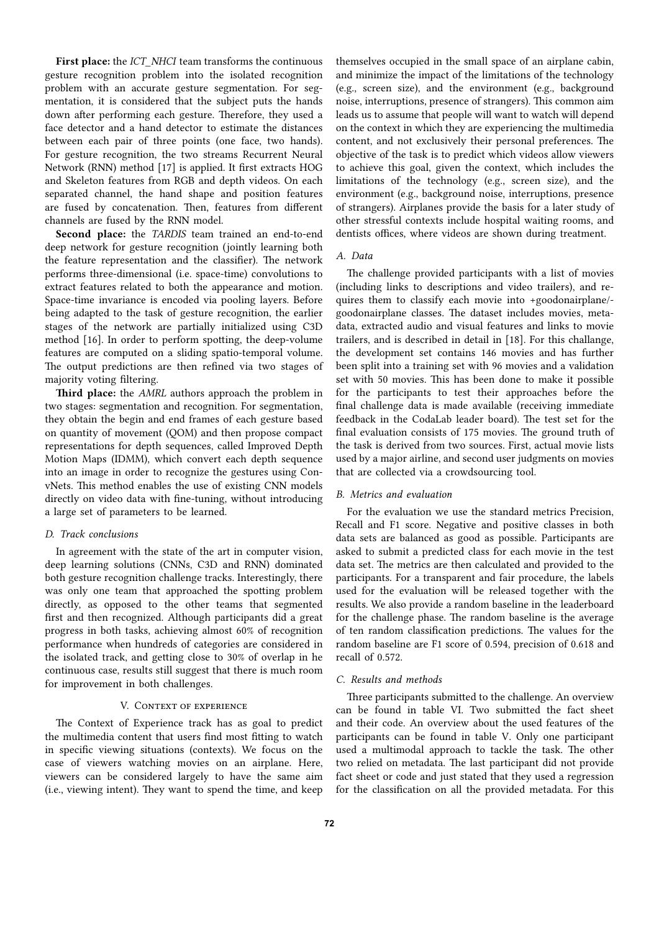**First place:** the *ICT\_NHCI* team transforms the continuous gesture recognition problem into the isolated recognition problem with an accurate gesture segmentation. For segmentation, it is considered that the subject puts the hands down after performing each gesture. Therefore, they used a face detector and a hand detector to estimate the distances between each pair of three points (one face, two hands). For gesture recognition, the two streams Recurrent Neural Network (RNN) method [17] is applied. It first extracts HOG and Skeleton features from RGB and depth videos. On each separated channel, the hand shape and position features are fused by concatenation. Then, features from different channels are fused by the RNN model.

**Second place:** the *TARDIS* team trained an end-to-end deep network for gesture recognition (jointly learning both the feature representation and the classifier). The network performs three-dimensional (i.e. space-time) convolutions to extract features related to both the appearance and motion. Space-time invariance is encoded via pooling layers. Before being adapted to the task of gesture recognition, the earlier stages of the network are partially initialized using C3D method [16]. In order to perform spotting, the deep-volume features are computed on a sliding spatio-temporal volume. The output predictions are then refined via two stages of majority voting filtering.

Third place: the *AMRL* authors approach the problem in two stages: segmentation and recognition. For segmentation, they obtain the begin and end frames of each gesture based on quantity of movement (QOM) and then propose compact representations for depth sequences, called Improved Depth Motion Maps (IDMM), which convert each depth sequence into an image in order to recognize the gestures using ConvNets. This method enables the use of existing CNN models directly on video data with fine-tuning, without introducing a large set of parameters to be learned.

# *D. Track conclusions*

In agreement with the state of the art in computer vision, deep learning solutions (CNNs, C3D and RNN) dominated both gesture recognition challenge tracks. Interestingly, there was only one team that approached the spotting problem directly, as opposed to the other teams that segmented first and then recognized. Although participants did a great progress in both tasks, achieving almost 60% of recognition performance when hundreds of categories are considered in the isolated track, and getting close to 30% of overlap in he continuous case, results still suggest that there is much room for improvement in both challenges.

# V. CONTEXT OF EXPERIENCE

The Context of Experience track has as goal to predict the multimedia content that users find most fitting to watch in specific viewing situations (contexts). We focus on the case of viewers watching movies on an airplane. Here, viewers can be considered largely to have the same aim (i.e., viewing intent). They want to spend the time, and keep

themselves occupied in the small space of an airplane cabin, and minimize the impact of the limitations of the technology (e.g., screen size), and the environment (e.g., background noise, interruptions, presence of strangers). This common aim leads us to assume that people will want to watch will depend on the context in which they are experiencing the multimedia content, and not exclusively their personal preferences. The objective of the task is to predict which videos allow viewers to achieve this goal, given the context, which includes the limitations of the technology (e.g., screen size), and the environment (e.g., background noise, interruptions, presence of strangers). Airplanes provide the basis for a later study of other stressful contexts include hospital waiting rooms, and dentists offices, where videos are shown during treatment.

# *A. Data*

The challenge provided participants with a list of movies (including links to descriptions and video trailers), and requires them to classify each movie into +goodonairplane/ goodonairplane classes. The dataset includes movies, metadata, extracted audio and visual features and links to movie trailers, and is described in detail in [18]. For this challange, the development set contains 146 movies and has further been split into a training set with 96 movies and a validation set with 50 movies. This has been done to make it possible for the participants to test their approaches before the final challenge data is made available (receiving immediate feedback in the CodaLab leader board). The test set for the final evaluation consists of 175 movies. The ground truth of the task is derived from two sources. First, actual movie lists used by a major airline, and second user judgments on movies that are collected via a crowdsourcing tool.

# *B. Metrics and evaluation*

For the evaluation we use the standard metrics Precision, Recall and F1 score. Negative and positive classes in both data sets are balanced as good as possible. Participants are asked to submit a predicted class for each movie in the test data set. The metrics are then calculated and provided to the participants. For a transparent and fair procedure, the labels used for the evaluation will be released together with the results. We also provide a random baseline in the leaderboard for the challenge phase. The random baseline is the average of ten random classification predictions. The values for the random baseline are F1 score of 0.594, precision of 0.618 and recall of 0.572.

# *C. Results and methods*

Three participants submitted to the challenge. An overview can be found in table VI. Two submitted the fact sheet and their code. An overview about the used features of the participants can be found in table V. Only one participant used a multimodal approach to tackle the task. The other two relied on metadata. The last participant did not provide fact sheet or code and just stated that they used a regression for the classification on all the provided metadata. For this